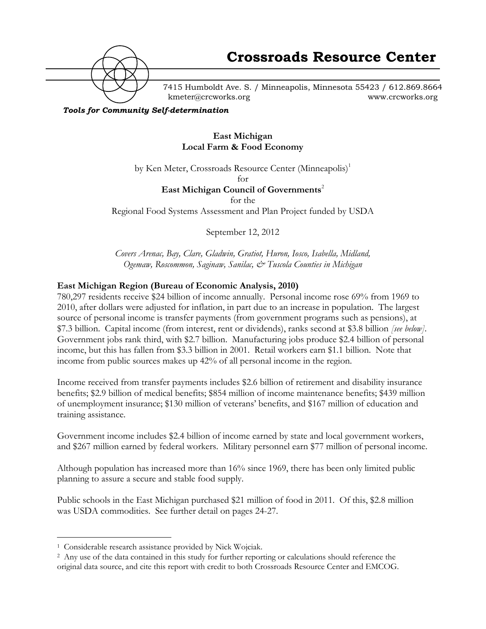

7415 Humboldt Ave. S. / Minneapolis, Minnesota 55423 / 612.869.8664 kmeter@crcworks.org www.crcworks.org

*Tools for Community Self-determination*

## **East Michigan Local Farm & Food Economy**

by Ken Meter, Crossroads Resource Center (Minneapolis)<sup>1</sup>

for

## **East Michigan Council of Governments<sup>2</sup>**

for the

Regional Food Systems Assessment and Plan Project funded by USDA

September 12, 2012

*Covers Arenac, Bay, Clare, Gladwin, Gratiot, Huron, Iosco, Isabella, Midland, Ogemaw, Roscommon, Saginaw, Sanilac, & Tuscola Counties in Michigan*

### **East Michigan Region (Bureau of Economic Analysis, 2010)**

780,297 residents receive \$24 billion of income annually. Personal income rose 69% from 1969 to 2010, after dollars were adjusted for inflation, in part due to an increase in population. The largest source of personal income is transfer payments (from government programs such as pensions), at \$7.3 billion. Capital income (from interest, rent or dividends), ranks second at \$3.8 billion *[see below]*. Government jobs rank third, with \$2.7 billion. Manufacturing jobs produce \$2.4 billion of personal income, but this has fallen from \$3.3 billion in 2001. Retail workers earn \$1.1 billion. Note that income from public sources makes up 42% of all personal income in the region.

Income received from transfer payments includes \$2.6 billion of retirement and disability insurance benefits; \$2.9 billion of medical benefits; \$854 million of income maintenance benefits; \$439 million of unemployment insurance; \$130 million of veterans' benefits, and \$167 million of education and training assistance.

Government income includes \$2.4 billion of income earned by state and local government workers, and \$267 million earned by federal workers. Military personnel earn \$77 million of personal income.

Although population has increased more than 16% since 1969, there has been only limited public planning to assure a secure and stable food supply.

Public schools in the East Michigan purchased \$21 million of food in 2011. Of this, \$2.8 million was USDA commodities. See further detail on pages 24-27.

 <sup>1</sup> Considerable research assistance provided by Nick Wojciak.

<sup>2</sup> Any use of the data contained in this study for further reporting or calculations should reference the original data source, and cite this report with credit to both Crossroads Resource Center and EMCOG.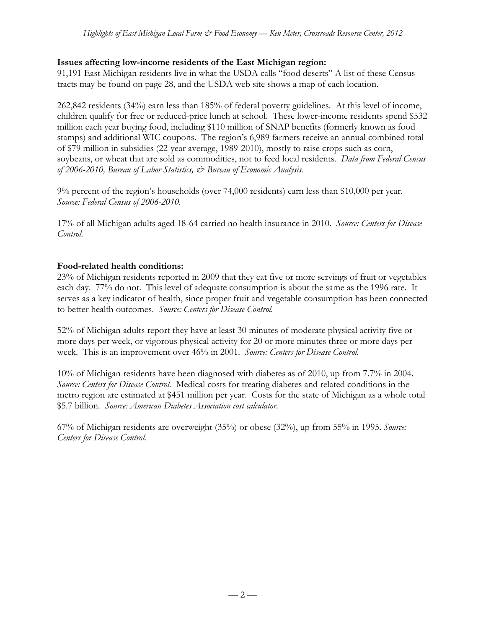## **Issues affecting low-income residents of the East Michigan region:**

91,191 East Michigan residents live in what the USDA calls "food deserts" A list of these Census tracts may be found on page 28, and the USDA web site shows a map of each location.

262,842 residents (34%) earn less than 185% of federal poverty guidelines. At this level of income, children qualify for free or reduced-price lunch at school. These lower-income residents spend \$532 million each year buying food, including \$110 million of SNAP benefits (formerly known as food stamps) and additional WIC coupons. The region's 6,989 farmers receive an annual combined total of \$79 million in subsidies (22-year average, 1989-2010), mostly to raise crops such as corn, soybeans, or wheat that are sold as commodities, not to feed local residents. *Data from Federal Census of 2006-2010, Bureau of Labor Statistics, & Bureau of Economic Analysis.*

9% percent of the region's households (over 74,000 residents) earn less than \$10,000 per year. *Source: Federal Census of 2006-2010.*

17% of all Michigan adults aged 18-64 carried no health insurance in 2010. *Source: Centers for Disease Control.*

### **Food-related health conditions:**

23% of Michigan residents reported in 2009 that they eat five or more servings of fruit or vegetables each day. 77% do not. This level of adequate consumption is about the same as the 1996 rate. It serves as a key indicator of health, since proper fruit and vegetable consumption has been connected to better health outcomes. *Source: Centers for Disease Control.*

52% of Michigan adults report they have at least 30 minutes of moderate physical activity five or more days per week, or vigorous physical activity for 20 or more minutes three or more days per week.This is an improvement over 46% in 2001. *Source: Centers for Disease Control.*

10% of Michigan residents have been diagnosed with diabetes as of 2010, up from 7.7% in 2004. *Source: Centers for Disease Control.* Medical costs for treating diabetes and related conditions in the metro region are estimated at \$451 million per year. Costs for the state of Michigan as a whole total \$5.7 billion. *Source: American Diabetes Association cost calculator.*

67% of Michigan residents are overweight (35%) or obese (32%), up from 55% in 1995. *Source: Centers for Disease Control.*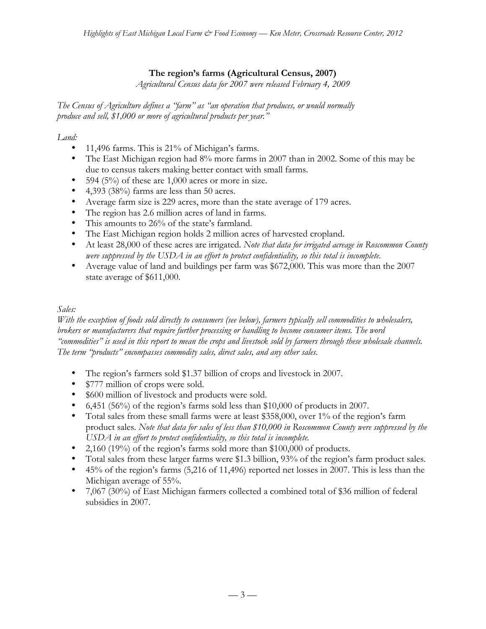# **The region's farms (Agricultural Census, 2007)**

*Agricultural Census data for 2007 were released February 4, 2009*

*The Census of Agriculture defines a "farm" as "an operation that produces, or would normally produce and sell, \$1,000 or more of agricultural products per year."*

### *Land:*

- 11,496 farms. This is 21% of Michigan's farms.
- The East Michigan region had 8% more farms in 2007 than in 2002. Some of this may be due to census takers making better contact with small farms.
- 594 (5%) of these are  $1,000$  acres or more in size.
- 4,393 (38%) farms are less than 50 acres.
- Average farm size is 229 acres, more than the state average of 179 acres.
- The region has 2.6 million acres of land in farms.
- This amounts to 26% of the state's farmland.
- The East Michigan region holds 2 million acres of harvested cropland.
- At least 28,000 of these acres are irrigated. *Note that data for irrigated acreage in Roscommon County were suppressed by the USDA in an effort to protect confidentiality, so this total is incomplete.*
- Average value of land and buildings per farm was \$672,000. This was more than the 2007 state average of \$611,000.

### *Sales:*

*With the exception of foods sold directly to consumers (see below), farmers typically sell commodities to wholesalers, brokers or manufacturers that require further processing or handling to become consumer items. The word "commodities" is used in this report to mean the crops and livestock sold by farmers through these wholesale channels. The term "products" encompasses commodity sales, direct sales, and any other sales.*

- The region's farmers sold \$1.37 billion of crops and livestock in 2007.
- \$777 million of crops were sold.
- \$600 million of livestock and products were sold.
- 6,451 (56%) of the region's farms sold less than \$10,000 of products in 2007.
- Total sales from these small farms were at least \$358,000, over 1% of the region's farm product sales. *Note that data for sales of less than \$10,000 in Roscommon County were suppressed by the USDA in an effort to protect confidentiality, so this total is incomplete.*
- 2,160 (19%) of the region's farms sold more than \$100,000 of products.
- Total sales from these larger farms were \$1.3 billion, 93% of the region's farm product sales.
- 45% of the region's farms (5,216 of 11,496) reported net losses in 2007. This is less than the Michigan average of 55%.
- 7,067 (30%) of East Michigan farmers collected a combined total of \$36 million of federal subsidies in 2007.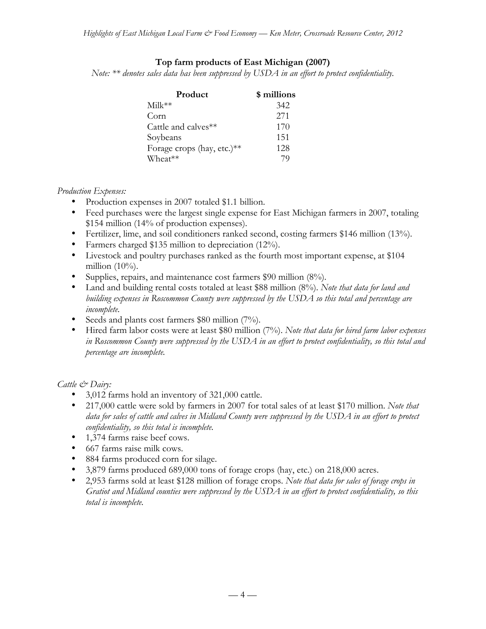### **Top farm products of East Michigan (2007)**

*Note: \*\* denotes sales data has been suppressed by USDA in an effort to protect confidentiality.*

| Product                    | \$ millions |
|----------------------------|-------------|
| Milk**                     | 342         |
| Corn                       | 2.71        |
| Cattle and calves**        | 170         |
| Soybeans                   | 151         |
| Forage crops (hay, etc.)** | 128         |
| Wheat**                    | 79          |

#### *Production Expenses:*

- Production expenses in 2007 totaled \$1.1 billion.
- Feed purchases were the largest single expense for East Michigan farmers in 2007, totaling \$154 million (14% of production expenses).
- Fertilizer, lime, and soil conditioners ranked second, costing farmers \$146 million (13%).
- Farmers charged \$135 million to depreciation (12%).
- Livestock and poultry purchases ranked as the fourth most important expense, at \$104 million  $(10\%)$ .
- Supplies, repairs, and maintenance cost farmers \$90 million (8%).
- Land and building rental costs totaled at least \$88 million (8%). *Note that data for land and building expenses in Roscommon County were suppressed by the USDA so this total and percentage are incomplete.*
- Seeds and plants cost farmers \$80 million (7%).
- Hired farm labor costs were at least \$80 million (7%). *Note that data for hired farm labor expenses in Roscommon County were suppressed by the USDA in an effort to protect confidentiality, so this total and percentage are incomplete.*

#### *Cattle & Dairy:*

- 3,012 farms hold an inventory of 321,000 cattle.
- 217,000 cattle were sold by farmers in 2007 for total sales of at least \$170 million. *Note that data for sales of cattle and calves in Midland County were suppressed by the USDA in an effort to protect confidentiality, so this total is incomplete.*
- 1,374 farms raise beef cows.
- 667 farms raise milk cows.
- 884 farms produced corn for silage.
- 3,879 farms produced 689,000 tons of forage crops (hay, etc.) on 218,000 acres.
- 2,953 farms sold at least \$128 million of forage crops. *Note that data for sales of forage crops in Gratiot and Midland counties were suppressed by the USDA in an effort to protect confidentiality, so this total is incomplete.*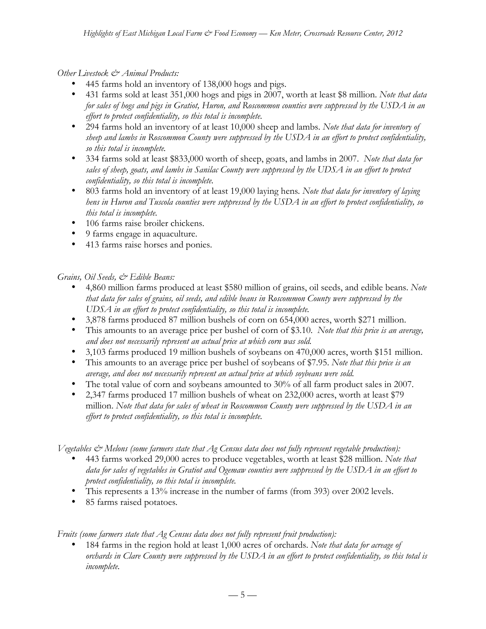*Other Livestock & Animal Products:*

- 445 farms hold an inventory of 138,000 hogs and pigs.
- 431 farms sold at least 351,000 hogs and pigs in 2007, worth at least \$8 million. *Note that data for sales of hogs and pigs in Gratiot, Huron, and Roscommon counties were suppressed by the USDA in an effort to protect confidentiality, so this total is incomplete.*
- 294 farms hold an inventory of at least 10,000 sheep and lambs. *Note that data for inventory of sheep and lambs in Roscommon County were suppressed by the USDA in an effort to protect confidentiality, so this total is incomplete.*
- 334 farms sold at least \$833,000 worth of sheep, goats, and lambs in 2007. *Note that data for sales of sheep, goats, and lambs in Sanilac County were suppressed by the UDSA in an effort to protect confidentiality, so this total is incomplete.*
- 803 farms hold an inventory of at least 19,000 laying hens*. Note that data for inventory of laying hens in Huron and Tuscola counties were suppressed by the USDA in an effort to protect confidentiality, so this total is incomplete.*
- 106 farms raise broiler chickens.
- 9 farms engage in aquaculture.
- 413 farms raise horses and ponies.

# *Grains, Oil Seeds, & Edible Beans:*

- 4,860 million farms produced at least \$580 million of grains, oil seeds, and edible beans. *Note that data for sales of grains, oil seeds, and edible beans in Roscommon County were suppressed by the UDSA in an effort to protect confidentiality, so this total is incomplete.*
- 3,878 farms produced 87 million bushels of corn on 654,000 acres, worth \$271 million.
- This amounts to an average price per bushel of corn of \$3.10. *Note that this price is an average, and does not necessarily represent an actual price at which corn was sold.*
- 3,103 farms produced 19 million bushels of soybeans on 470,000 acres, worth \$151 million.
- This amounts to an average price per bushel of soybeans of \$7.95. *Note that this price is an average, and does not necessarily represent an actual price at which soybeans were sold.*
- The total value of corn and soybeans amounted to 30% of all farm product sales in 2007.
- 2,347 farms produced 17 million bushels of wheat on 232,000 acres, worth at least \$79 million. *Note that data for sales of wheat in Roscommon County were suppressed by the USDA in an effort to protect confidentiality, so this total is incomplete.*

*Vegetables & Melons (some farmers state that Ag Census data does not fully represent vegetable production):*

- 443 farms worked 29,000 acres to produce vegetables, worth at least \$28 million. *Note that data for sales of vegetables in Gratiot and Ogemaw counties were suppressed by the USDA in an effort to protect confidentiality, so this total is incomplete.*
- This represents a 13% increase in the number of farms (from 393) over 2002 levels.
- 85 farms raised potatoes*.*

*Fruits (some farmers state that Ag Census data does not fully represent fruit production):*

• 184 farms in the region hold at least 1,000 acres of orchards. *Note that data for acreage of orchards in Clare County were suppressed by the USDA in an effort to protect confidentiality, so this total is incomplete.*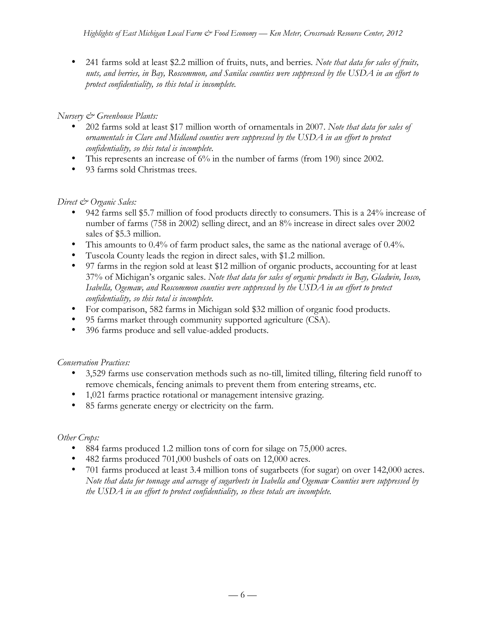• 241 farms sold at least \$2.2 million of fruits, nuts, and berries*. Note that data for sales of fruits, nuts, and berries, in Bay, Roscommon, and Sanilac counties were suppressed by the USDA in an effort to protect confidentiality, so this total is incomplete.*

# *Nursery & Greenhouse Plants:*

- 202 farms sold at least \$17 million worth of ornamentals in 2007. *Note that data for sales of ornamentals in Clare and Midland counties were suppressed by the USDA in an effort to protect confidentiality, so this total is incomplete.*
- This represents an increase of 6% in the number of farms (from 190) since 2002.
- 93 farms sold Christmas trees.

# *Direct & Organic Sales:*

- 942 farms sell \$5.7 million of food products directly to consumers. This is a 24% increase of number of farms (758 in 2002) selling direct, and an 8% increase in direct sales over 2002 sales of \$5.3 million.
- This amounts to 0.4% of farm product sales, the same as the national average of 0.4%.
- Tuscola County leads the region in direct sales, with \$1.2 million.
- 97 farms in the region sold at least \$12 million of organic products, accounting for at least 37% of Michigan's organic sales. *Note that data for sales of organic products in Bay, Gladwin, Iosco, Isabella, Ogemaw, and Roscommon counties were suppressed by the USDA in an effort to protect confidentiality, so this total is incomplete.*
- For comparison, 582 farms in Michigan sold \$32 million of organic food products.
- 95 farms market through community supported agriculture (CSA).
- 396 farms produce and sell value-added products.

# *Conservation Practices:*

- 3,529 farms use conservation methods such as no-till, limited tilling, filtering field runoff to remove chemicals, fencing animals to prevent them from entering streams, etc.
- 1,021 farms practice rotational or management intensive grazing.
- 85 farms generate energy or electricity on the farm.

# *Other Crops:*

- 884 farms produced 1.2 million tons of corn for silage on 75,000 acres.
- 482 farms produced 701,000 bushels of oats on 12,000 acres.
- 701 farms produced at least 3.4 million tons of sugarbeets (for sugar) on over 142,000 acres. *Note that data for tonnage and acreage of sugarbeets in Isabella and Ogemaw Counties were suppressed by the USDA in an effort to protect confidentiality, so these totals are incomplete.*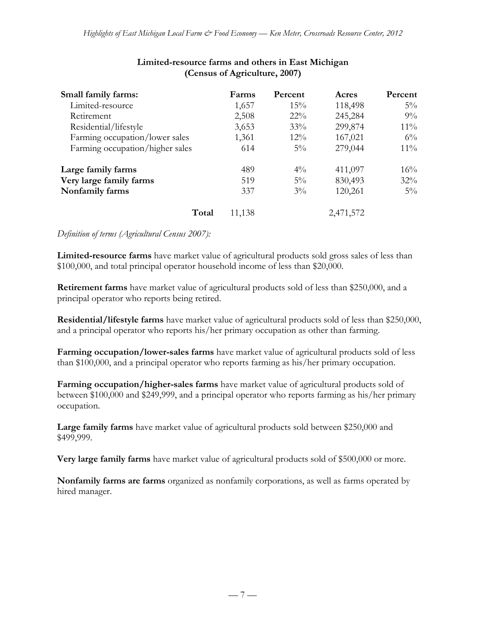| Small family farms:             | Farms  | Percent | Acres     | Percent |
|---------------------------------|--------|---------|-----------|---------|
| Limited-resource                | 1,657  | 15%     | 118,498   | $5\%$   |
| Retirement                      | 2,508  | $22\%$  | 245,284   | $9\%$   |
| Residential/lifestyle           | 3,653  | 33%     | 299,874   | $11\%$  |
| Farming occupation/lower sales  | 1,361  | $12\%$  | 167,021   | $6\%$   |
| Farming occupation/higher sales | 614    | $5\%$   | 279,044   | $11\%$  |
| Large family farms              | 489    | $4\%$   | 411,097   | 16%     |
| Very large family farms         | 519    | $5\%$   | 830,493   | 32%     |
| Nonfamily farms                 | 337    | $3\%$   | 120,261   | $5\%$   |
| Total                           | 11,138 |         | 2,471,572 |         |

## **Limited-resource farms and others in East Michigan (Census of Agriculture, 2007)**

*Definition of terms (Agricultural Census 2007):*

**Limited-resource farms** have market value of agricultural products sold gross sales of less than \$100,000, and total principal operator household income of less than \$20,000.

**Retirement farms** have market value of agricultural products sold of less than \$250,000, and a principal operator who reports being retired.

**Residential/lifestyle farms** have market value of agricultural products sold of less than \$250,000, and a principal operator who reports his/her primary occupation as other than farming.

**Farming occupation/lower-sales farms** have market value of agricultural products sold of less than \$100,000, and a principal operator who reports farming as his/her primary occupation.

**Farming occupation/higher-sales farms** have market value of agricultural products sold of between \$100,000 and \$249,999, and a principal operator who reports farming as his/her primary occupation.

**Large family farms** have market value of agricultural products sold between \$250,000 and \$499,999.

**Very large family farms** have market value of agricultural products sold of \$500,000 or more.

**Nonfamily farms are farms** organized as nonfamily corporations, as well as farms operated by hired manager.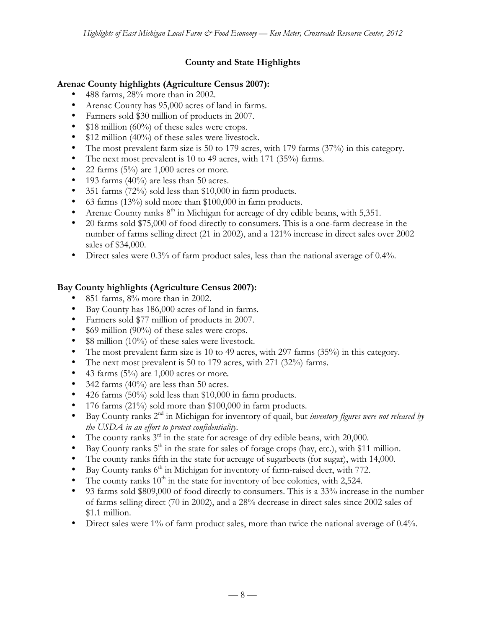# **County and State Highlights**

## **Arenac County highlights (Agriculture Census 2007):**

- 488 farms, 28% more than in 2002.
- Arenac County has 95,000 acres of land in farms.
- Farmers sold \$30 million of products in 2007.
- \$18 million (60%) of these sales were crops.
- \$12 million (40%) of these sales were livestock.
- The most prevalent farm size is 50 to 179 acres, with 179 farms (37%) in this category.
- The next most prevalent is 10 to 49 acres, with 171 (35%) farms.
- 22 farms  $(5%)$  are 1,000 acres or more.
- 193 farms  $(40\%)$  are less than 50 acres.
- 351 farms (72%) sold less than \$10,000 in farm products.
- 63 farms (13%) sold more than \$100,000 in farm products.
- Arenac County ranks  $8<sup>th</sup>$  in Michigan for acreage of dry edible beans, with 5,351.
- 20 farms sold \$75,000 of food directly to consumers. This is a one-farm decrease in the number of farms selling direct (21 in 2002), and a 121% increase in direct sales over 2002 sales of \$34,000.
- Direct sales were 0.3% of farm product sales, less than the national average of 0.4%.

# **Bay County highlights (Agriculture Census 2007):**

- 851 farms, 8% more than in 2002.
- Bay County has 186,000 acres of land in farms.
- Farmers sold \$77 million of products in 2007.
- \$69 million (90%) of these sales were crops.
- \$8 million (10%) of these sales were livestock.
- The most prevalent farm size is 10 to 49 acres, with 297 farms (35%) in this category.
- The next most prevalent is 50 to 179 acres, with 271 (32%) farms.
- 43 farms  $(5\%)$  are 1,000 acres or more.
- 342 farms (40%) are less than 50 acres.
- 426 farms (50%) sold less than \$10,000 in farm products.
- 176 farms (21%) sold more than \$100,000 in farm products.
- Bay County ranks 2nd in Michigan for inventory of quail, but *inventory figures were not released by the USDA in an effort to protect confidentiality.*
- The county ranks  $3<sup>rd</sup>$  in the state for acreage of dry edible beans, with 20,000.
- Bay County ranks  $5<sup>th</sup>$  in the state for sales of forage crops (hay, etc.), with \$11 million.
- The county ranks fifth in the state for acreage of sugarbeets (for sugar), with 14,000.
- $\bullet$  Bay County ranks  $6<sup>th</sup>$  in Michigan for inventory of farm-raised deer, with 772.
- The county ranks  $10<sup>th</sup>$  in the state for inventory of bee colonies, with 2,524.
- 93 farms sold \$809,000 of food directly to consumers. This is a 33% increase in the number of farms selling direct (70 in 2002), and a 28% decrease in direct sales since 2002 sales of \$1.1 million.
- Direct sales were 1% of farm product sales, more than twice the national average of 0.4%.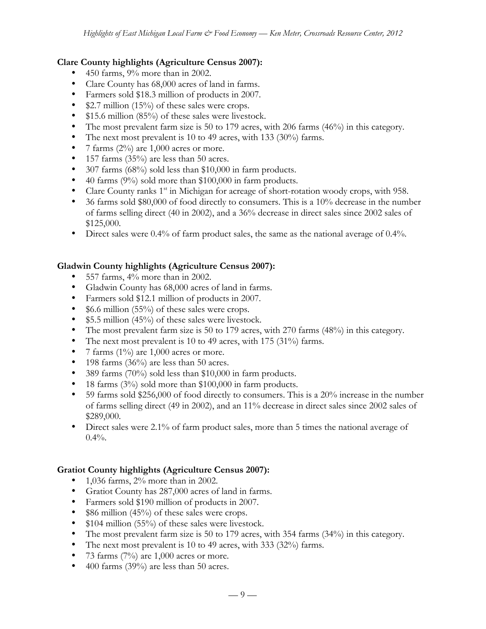### **Clare County highlights (Agriculture Census 2007):**

- 450 farms, 9% more than in 2002.
- Clare County has 68,000 acres of land in farms.
- Farmers sold \$18.3 million of products in 2007.
- \$2.7 million (15%) of these sales were crops.
- \$15.6 million (85%) of these sales were livestock.
- The most prevalent farm size is 50 to 179 acres, with 206 farms (46%) in this category.
- The next most prevalent is 10 to 49 acres, with 133 (30%) farms.
- 7 farms  $(2\%)$  are 1,000 acres or more.
- 157 farms (35%) are less than 50 acres.
- 307 farms (68%) sold less than \$10,000 in farm products.
- 40 farms (9%) sold more than \$100,000 in farm products.
- Clare County ranks  $1<sup>st</sup>$  in Michigan for acreage of short-rotation woody crops, with 958.
- 36 farms sold \$80,000 of food directly to consumers. This is a 10% decrease in the number of farms selling direct (40 in 2002), and a 36% decrease in direct sales since 2002 sales of \$125,000.
- Direct sales were 0.4% of farm product sales, the same as the national average of 0.4%.

# **Gladwin County highlights (Agriculture Census 2007):**

- 557 farms, 4% more than in 2002.
- Gladwin County has 68,000 acres of land in farms.
- Farmers sold \$12.1 million of products in 2007.
- \$6.6 million (55%) of these sales were crops.
- \$5.5 million (45%) of these sales were livestock.
- The most prevalent farm size is 50 to 179 acres, with 270 farms (48%) in this category.
- The next most prevalent is 10 to 49 acres, with 175 (31%) farms.
- 7 farms  $(1\%)$  are 1,000 acres or more.
- 198 farms  $(36\%)$  are less than 50 acres.
- 389 farms (70%) sold less than \$10,000 in farm products.
- 18 farms (3%) sold more than \$100,000 in farm products.
- 59 farms sold \$256,000 of food directly to consumers. This is a 20% increase in the number of farms selling direct (49 in 2002), and an 11% decrease in direct sales since 2002 sales of \$289,000.
- Direct sales were 2.1% of farm product sales, more than 5 times the national average of  $0.4\%$ .

# **Gratiot County highlights (Agriculture Census 2007):**

- $1,036$  farms,  $2\%$  more than in 2002.
- Gratiot County has 287,000 acres of land in farms.
- Farmers sold \$190 million of products in 2007.
- \$86 million (45%) of these sales were crops.
- \$104 million (55%) of these sales were livestock.
- The most prevalent farm size is 50 to 179 acres, with 354 farms (34%) in this category.
- The next most prevalent is 10 to 49 acres, with 333 (32%) farms.
- 73 farms  $(7%)$  are 1,000 acres or more.
- 400 farms (39%) are less than 50 acres.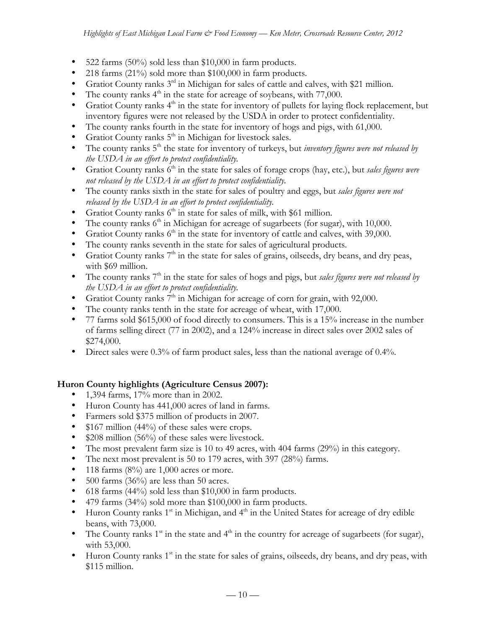- 522 farms  $(50\%)$  sold less than \$10,000 in farm products.
- 218 farms (21%) sold more than \$100,000 in farm products.
- Gratiot County ranks 3<sup>rd</sup> in Michigan for sales of cattle and calves, with \$21 million.
- The county ranks  $4<sup>th</sup>$  in the state for acreage of soybeans, with 77,000.
- Gratiot County ranks  $4<sup>th</sup>$  in the state for inventory of pullets for laying flock replacement, but inventory figures were not released by the USDA in order to protect confidentiality.
- The county ranks fourth in the state for inventory of hogs and pigs, with 61,000.
- Gratiot County ranks  $5<sup>th</sup>$  in Michigan for livestock sales.
- The county ranks 5<sup>th</sup> the state for inventory of turkeys, but *inventory figures were not released by the USDA in an effort to protect confidentiality.*
- Gratiot County ranks 6th in the state for sales of forage crops (hay, etc.), but *sales figures were not released by the USDA in an effort to protect confidentiality.*
- The county ranks sixth in the state for sales of poultry and eggs, but *sales figures were not released by the USDA in an effort to protect confidentiality.*
- Gratiot County ranks  $6<sup>th</sup>$  in state for sales of milk, with \$61 million.
- The county ranks  $6<sup>th</sup>$  in Michigan for acreage of sugarbeets (for sugar), with 10,000.
- Gratiot County ranks  $6<sup>th</sup>$  in the state for inventory of cattle and calves, with 39,000.
- The county ranks seventh in the state for sales of agricultural products.
- Gratiot County ranks  $7<sup>th</sup>$  in the state for sales of grains, oilseeds, dry beans, and dry peas, with \$69 million.
- The county ranks  $7<sup>th</sup>$  in the state for sales of hogs and pigs, but *sales figures were not released by the USDA in an effort to protect confidentiality.*
- Gratiot County ranks  $7<sup>th</sup>$  in Michigan for acreage of corn for grain, with 92,000.
- The county ranks tenth in the state for acreage of wheat, with 17,000.
- 77 farms sold \$615,000 of food directly to consumers. This is a 15% increase in the number of farms selling direct (77 in 2002), and a 124% increase in direct sales over 2002 sales of \$274,000.
- Direct sales were 0.3% of farm product sales, less than the national average of 0.4%.

# **Huron County highlights (Agriculture Census 2007):**

- 1,394 farms, 17% more than in 2002.
- Huron County has 441,000 acres of land in farms.
- Farmers sold \$375 million of products in 2007.
- \$167 million (44%) of these sales were crops.
- \$208 million (56%) of these sales were livestock.
- The most prevalent farm size is 10 to 49 acres, with 404 farms (29%) in this category.
- The next most prevalent is 50 to 179 acres, with 397 (28%) farms.
- 118 farms  $(8\%)$  are 1,000 acres or more.
- 500 farms (36%) are less than 50 acres.
- 618 farms (44%) sold less than \$10,000 in farm products.
- 479 farms (34%) sold more than \$100,000 in farm products.
- Huron County ranks  $1<sup>st</sup>$  in Michigan, and  $4<sup>th</sup>$  in the United States for acreage of dry edible beans, with 73,000.
- The County ranks  $1<sup>st</sup>$  in the state and  $4<sup>th</sup>$  in the country for acreage of sugarbeets (for sugar), with 53,000.
- Huron County ranks 1<sup>st</sup> in the state for sales of grains, oilseeds, dry beans, and dry peas, with \$115 million.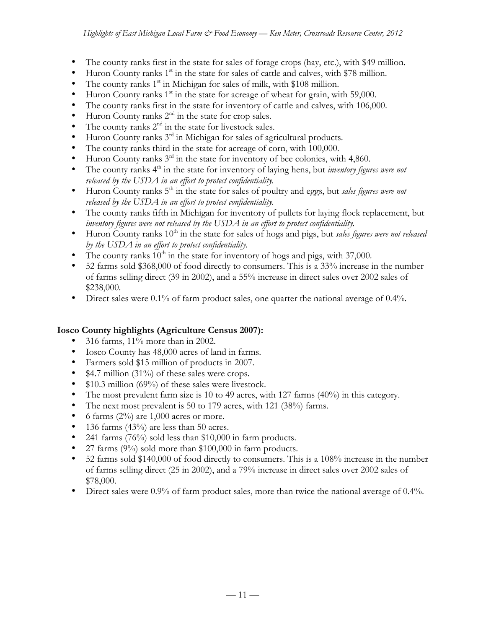- The county ranks first in the state for sales of forage crops (hay, etc.), with \$49 million.
- Huron County ranks  $1<sup>st</sup>$  in the state for sales of cattle and calves, with \$78 million.
- The county ranks  $1<sup>st</sup>$  in Michigan for sales of milk, with \$108 million.
- Huron County ranks  $1<sup>st</sup>$  in the state for acreage of wheat for grain, with 59,000.
- The county ranks first in the state for inventory of cattle and calves, with 106,000.
- Huron County ranks  $2<sup>nd</sup>$  in the state for crop sales.
- The county ranks  $2<sup>nd</sup>$  in the state for livestock sales.
- Huron County ranks  $3<sup>rd</sup>$  in Michigan for sales of agricultural products.
- The county ranks third in the state for acreage of corn, with 100,000.
- Huron County ranks  $3^{rd}$  in the state for inventory of bee colonies, with 4,860.
- The county ranks 4<sup>th</sup> in the state for inventory of laying hens, but *inventory figures were not released by the USDA in an effort to protect confidentiality.*
- Huron County ranks 5th in the state for sales of poultry and eggs, but *sales figures were not released by the USDA in an effort to protect confidentiality.*
- The county ranks fifth in Michigan for inventory of pullets for laying flock replacement, but *inventory figures were not released by the USDA in an effort to protect confidentiality.*
- Huron County ranks 10<sup>th</sup> in the state for sales of hogs and pigs, but *sales figures were not released by the USDA in an effort to protect confidentiality.*
- The county ranks  $10^{th}$  in the state for inventory of hogs and pigs, with 37,000.
- 52 farms sold \$368,000 of food directly to consumers. This is a 33% increase in the number of farms selling direct (39 in 2002), and a 55% increase in direct sales over 2002 sales of \$238,000.
- Direct sales were 0.1% of farm product sales, one quarter the national average of 0.4%.

# **Iosco County highlights (Agriculture Census 2007):**

- 316 farms, 11% more than in 2002.
- Iosco County has 48,000 acres of land in farms.
- Farmers sold \$15 million of products in 2007.
- \$4.7 million (31%) of these sales were crops.
- \$10.3 million (69%) of these sales were livestock.
- The most prevalent farm size is 10 to 49 acres, with 127 farms (40%) in this category.
- The next most prevalent is 50 to 179 acres, with 121 (38%) farms.
- 6 farms  $(2\%)$  are 1,000 acres or more.
- 136 farms (43%) are less than 50 acres.
- 241 farms (76%) sold less than \$10,000 in farm products.
- 27 farms  $(9\%)$  sold more than \$100,000 in farm products.
- 52 farms sold \$140,000 of food directly to consumers. This is a 108% increase in the number of farms selling direct (25 in 2002), and a 79% increase in direct sales over 2002 sales of \$78,000.
- Direct sales were 0.9% of farm product sales, more than twice the national average of 0.4%.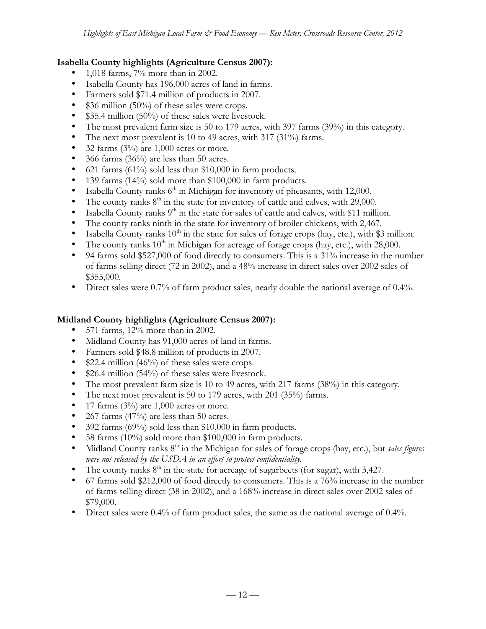## **Isabella County highlights (Agriculture Census 2007):**

- 1,018 farms, 7% more than in 2002.
- Isabella County has 196,000 acres of land in farms.
- Farmers sold \$71.4 million of products in 2007.
- \$36 million (50%) of these sales were crops.
- \$35.4 million (50%) of these sales were livestock.
- The most prevalent farm size is 50 to 179 acres, with 397 farms (39%) in this category.
- The next most prevalent is 10 to 49 acres, with 317 (31%) farms.
- 32 farms  $(3\%)$  are 1,000 acres or more.
- 366 farms  $(36\%)$  are less than 50 acres.
- 621 farms (61%) sold less than \$10,000 in farm products.
- 139 farms (14%) sold more than \$100,000 in farm products.
- Isabella County ranks  $6<sup>th</sup>$  in Michigan for inventory of pheasants, with 12,000.
- The county ranks  $8<sup>th</sup>$  in the state for inventory of cattle and calves, with 29,000.
- Isabella County ranks  $9<sup>th</sup>$  in the state for sales of cattle and calves, with \$11 million.
- The county ranks ninth in the state for inventory of broiler chickens, with 2,467.
- Isabella County ranks  $10^{th}$  in the state for sales of forage crops (hay, etc.), with \$3 million.
- The county ranks  $10<sup>th</sup>$  in Michigan for acreage of forage crops (hay, etc.), with 28,000.
- 94 farms sold \$527,000 of food directly to consumers. This is a 31% increase in the number of farms selling direct (72 in 2002), and a 48% increase in direct sales over 2002 sales of \$355,000.
- Direct sales were 0.7% of farm product sales, nearly double the national average of 0.4%.

#### **Midland County highlights (Agriculture Census 2007):**

- 571 farms,  $12\%$  more than in 2002.
- Midland County has 91,000 acres of land in farms.
- Farmers sold \$48.8 million of products in 2007.
- \$22.4 million (46%) of these sales were crops.
- \$26.4 million (54%) of these sales were livestock.
- The most prevalent farm size is 10 to 49 acres, with 217 farms (38%) in this category.
- The next most prevalent is 50 to 179 acres, with 201 (35%) farms.
- 17 farms  $(3\%)$  are 1,000 acres or more.
- 267 farms (47%) are less than 50 acres.
- 392 farms (69%) sold less than \$10,000 in farm products.
- 58 farms (10%) sold more than \$100,000 in farm products.
- Midland County ranks 8<sup>th</sup> in the Michigan for sales of forage crops (hay, etc.), but *sales figures were not released by the USDA in an effort to protect confidentiality.*
- The county ranks  $8<sup>th</sup>$  in the state for acreage of sugarbeets (for sugar), with 3,427.
- 67 farms sold \$212,000 of food directly to consumers. This is a 76% increase in the number of farms selling direct (38 in 2002), and a 168% increase in direct sales over 2002 sales of \$79,000.
- Direct sales were 0.4% of farm product sales, the same as the national average of 0.4%.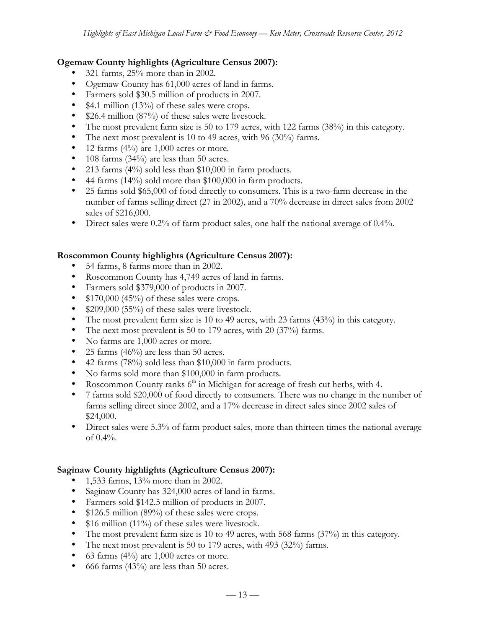### **Ogemaw County highlights (Agriculture Census 2007):**

- 321 farms, 25% more than in 2002.
- Ogemaw County has 61,000 acres of land in farms.
- Farmers sold \$30.5 million of products in 2007.
- \$4.1 million (13%) of these sales were crops.
- \$26.4 million (87%) of these sales were livestock.
- The most prevalent farm size is 50 to 179 acres, with 122 farms (38%) in this category.
- The next most prevalent is 10 to 49 acres, with 96 (30%) farms.
- 12 farms  $(4\%)$  are 1,000 acres or more.
- 108 farms (34%) are less than 50 acres.
- 213 farms (4%) sold less than \$10,000 in farm products.
- 44 farms (14%) sold more than \$100,000 in farm products.
- 25 farms sold \$65,000 of food directly to consumers. This is a two-farm decrease in the number of farms selling direct (27 in 2002), and a 70% decrease in direct sales from 2002 sales of \$216,000.
- Direct sales were 0.2% of farm product sales, one half the national average of 0.4%.

### **Roscommon County highlights (Agriculture Census 2007):**

- 54 farms, 8 farms more than in 2002.
- Roscommon County has 4,749 acres of land in farms.
- Farmers sold \$379,000 of products in 2007.
- $$170,000$  (45%) of these sales were crops.
- \$209,000 (55%) of these sales were livestock.
- The most prevalent farm size is 10 to 49 acres, with 23 farms (43%) in this category.
- The next most prevalent is 50 to 179 acres, with 20 (37%) farms.
- No farms are 1,000 acres or more.
- 25 farms  $(46\%)$  are less than 50 acres.
- 42 farms (78%) sold less than \$10,000 in farm products.
- No farms sold more than \$100,000 in farm products.
- Roscommon County ranks  $6<sup>th</sup>$  in Michigan for acreage of fresh cut herbs, with 4.
- 7 farms sold \$20,000 of food directly to consumers. There was no change in the number of farms selling direct since 2002, and a 17% decrease in direct sales since 2002 sales of \$24,000.
- Direct sales were 5.3% of farm product sales, more than thirteen times the national average of  $0.4\%$ .

#### **Saginaw County highlights (Agriculture Census 2007):**

- 1,533 farms, 13% more than in 2002.
- Saginaw County has 324,000 acres of land in farms.
- Farmers sold \$142.5 million of products in 2007.
- \$126.5 million (89%) of these sales were crops.
- \$16 million (11%) of these sales were livestock.
- The most prevalent farm size is 10 to 49 acres, with 568 farms (37%) in this category.
- The next most prevalent is 50 to 179 acres, with 493 (32%) farms.
- 63 farms  $(4\%)$  are 1,000 acres or more.
- 666 farms  $(43\%)$  are less than 50 acres.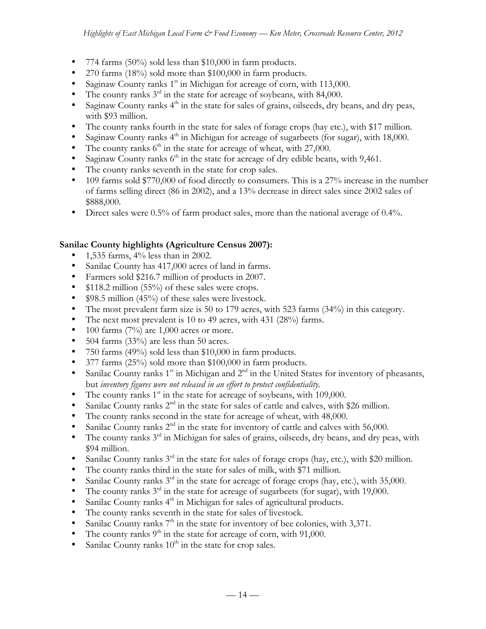- 774 farms  $(50\%)$  sold less than \$10,000 in farm products.
- 270 farms (18%) sold more than \$100,000 in farm products.
- Saginaw County ranks  $1<sup>st</sup>$  in Michigan for acreage of corn, with 113,000.
- The county ranks  $3^{rd}$  in the state for acreage of soybeans, with 84,000.
- Saginaw County ranks  $4<sup>th</sup>$  in the state for sales of grains, oilseeds, dry beans, and dry peas, with \$93 million.
- The county ranks fourth in the state for sales of forage crops (hay etc.), with \$17 million.
- Saginaw County ranks  $4<sup>th</sup>$  in Michigan for acreage of sugarbeets (for sugar), with 18,000.
- The county ranks  $6<sup>th</sup>$  in the state for acreage of wheat, with 27,000.
- Saginaw County ranks  $6<sup>th</sup>$  in the state for acreage of dry edible beans, with 9,461.
- The county ranks seventh in the state for crop sales.
- 109 farms sold \$770,000 of food directly to consumers. This is a 27% increase in the number of farms selling direct (86 in 2002), and a 13% decrease in direct sales since 2002 sales of \$888,000.
- Direct sales were 0.5% of farm product sales, more than the national average of 0.4%.

### **Sanilac County highlights (Agriculture Census 2007):**

- 1,535 farms, 4% less than in 2002.
- Sanilac County has 417,000 acres of land in farms.
- Farmers sold \$216.7 million of products in 2007.
- \$118.2 million (55%) of these sales were crops.
- \$98.5 million (45%) of these sales were livestock.
- The most prevalent farm size is 50 to 179 acres, with 523 farms (34%) in this category.
- The next most prevalent is 10 to 49 acres, with 431 (28%) farms.
- 100 farms  $(7%)$  are 1,000 acres or more.
- 504 farms  $(33\%)$  are less than 50 acres.
- 750 farms (49%) sold less than \$10,000 in farm products.
- 377 farms (25%) sold more than \$100,000 in farm products.
- Sanilac County ranks  $1<sup>st</sup>$  in Michigan and  $2<sup>nd</sup>$  in the United States for inventory of pheasants, but *inventory figures were not released in an effort to protect confidentiality.*
- The county ranks  $1<sup>st</sup>$  in the state for acreage of soybeans, with 109,000.
- Sanilac County ranks  $2<sup>nd</sup>$  in the state for sales of cattle and calves, with \$26 million.
- The county ranks second in the state for acreage of wheat, with 48,000.
- Sanilac County ranks  $2<sup>nd</sup>$  in the state for inventory of cattle and calves with 56,000.
- The county ranks  $3<sup>rd</sup>$  in Michigan for sales of grains, oilseeds, dry beans, and dry peas, with \$94 million.
- Sanilac County ranks  $3<sup>rd</sup>$  in the state for sales of forage crops (hay, etc.), with \$20 million.
- The county ranks third in the state for sales of milk, with \$71 million.
- Sanilac County ranks  $3<sup>rd</sup>$  in the state for acreage of forage crops (hay, etc.), with 35,000.
- The county ranks  $3<sup>rd</sup>$  in the state for acreage of sugarbeets (for sugar), with 19,000.
- Sanilac County ranks 4<sup>th</sup> in Michigan for sales of agricultural products.
- The county ranks seventh in the state for sales of livestock.
- Sanilac County ranks  $7<sup>th</sup>$  in the state for inventory of bee colonies, with 3,371.
- The county ranks  $9<sup>th</sup>$  in the state for acreage of corn, with 91,000.
- Sanilac County ranks  $10<sup>th</sup>$  in the state for crop sales.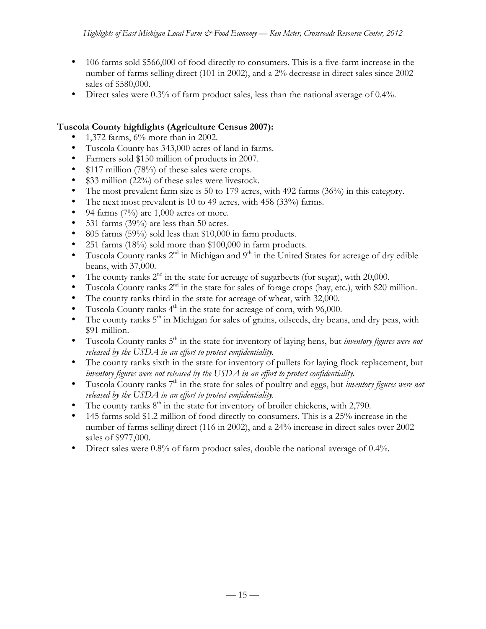- 106 farms sold \$566,000 of food directly to consumers. This is a five-farm increase in the number of farms selling direct (101 in 2002), and a 2% decrease in direct sales since 2002 sales of \$580,000.
- Direct sales were 0.3% of farm product sales, less than the national average of 0.4%.

# **Tuscola County highlights (Agriculture Census 2007):**

- 1,372 farms,  $6\%$  more than in 2002.
- Tuscola County has 343,000 acres of land in farms.
- Farmers sold \$150 million of products in 2007.
- \$117 million (78%) of these sales were crops.
- \$33 million (22%) of these sales were livestock.
- The most prevalent farm size is 50 to 179 acres, with 492 farms (36%) in this category.
- The next most prevalent is 10 to 49 acres, with 458 (33%) farms.
- 94 farms  $(7%)$  are 1,000 acres or more.
- 531 farms (39%) are less than 50 acres.
- 805 farms (59%) sold less than \$10,000 in farm products.
- 251 farms (18%) sold more than \$100,000 in farm products.
- Tuscola County ranks  $2^{nd}$  in Michigan and  $9^{th}$  in the United States for acreage of dry edible beans, with 37,000.
- The county ranks  $2<sup>nd</sup>$  in the state for acreage of sugarbeets (for sugar), with 20,000.
- Tuscola County ranks  $2<sup>nd</sup>$  in the state for sales of forage crops (hay, etc.), with \$20 million.
- The county ranks third in the state for acreage of wheat, with 32,000.
- Tuscola County ranks  $4<sup>th</sup>$  in the state for acreage of corn, with 96,000.
- The county ranks  $5<sup>th</sup>$  in Michigan for sales of grains, oilseeds, dry beans, and dry peas, with \$91 million.
- Tuscola County ranks 5<sup>th</sup> in the state for inventory of laying hens, but *inventory figures were not released by the USDA in an effort to protect confidentiality.*
- The county ranks sixth in the state for inventory of pullets for laying flock replacement, but *inventory figures were not released by the USDA in an effort to protect confidentiality.*
- Tuscola County ranks 7th in the state for sales of poultry and eggs, but *inventory figures were not released by the USDA in an effort to protect confidentiality.*
- The county ranks  $8<sup>th</sup>$  in the state for inventory of broiler chickens, with 2,790.
- 145 farms sold \$1.2 million of food directly to consumers. This is a 25% increase in the number of farms selling direct (116 in 2002), and a 24% increase in direct sales over 2002 sales of \$977,000.
- Direct sales were 0.8% of farm product sales, double the national average of 0.4%.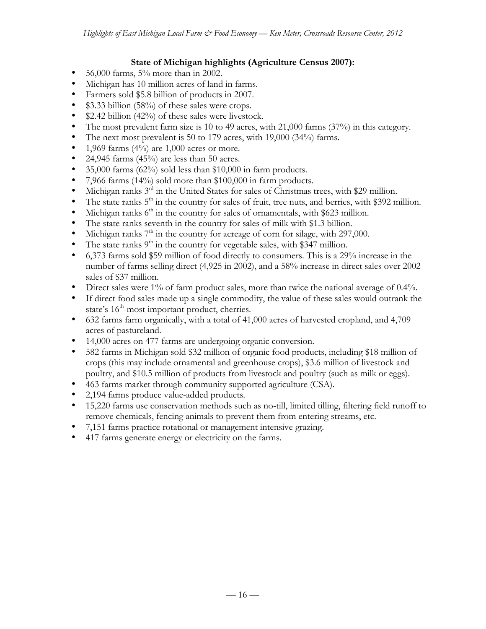## **State of Michigan highlights (Agriculture Census 2007):**

- 56,000 farms,  $5\%$  more than in 2002.
- Michigan has 10 million acres of land in farms.
- Farmers sold \$5.8 billion of products in 2007.
- \$3.33 billion (58%) of these sales were crops.
- \$2.42 billion (42%) of these sales were livestock.
- The most prevalent farm size is 10 to 49 acres, with 21,000 farms (37%) in this category.
- The next most prevalent is 50 to 179 acres, with 19,000 (34%) farms.
- 1,969 farms  $(4\%)$  are 1,000 acres or more.
- 24,945 farms  $(45%)$  are less than 50 acres.
- 35,000 farms (62%) sold less than \$10,000 in farm products.
- 7,966 farms (14%) sold more than \$100,000 in farm products.
- Michigan ranks  $3<sup>rd</sup>$  in the United States for sales of Christmas trees, with \$29 million.
- The state ranks  $5<sup>th</sup>$  in the country for sales of fruit, tree nuts, and berries, with \$392 million.
- Michigan ranks  $6<sup>th</sup>$  in the country for sales of ornamentals, with \$623 million.
- The state ranks seventh in the country for sales of milk with \$1.3 billion.
- Michigan ranks  $7<sup>th</sup>$  in the country for acreage of corn for silage, with 297,000.
- The state ranks  $9<sup>th</sup>$  in the country for vegetable sales, with \$347 million.
- 6,373 farms sold \$59 million of food directly to consumers. This is a 29% increase in the number of farms selling direct (4,925 in 2002), and a 58% increase in direct sales over 2002 sales of \$37 million.
- Direct sales were 1% of farm product sales, more than twice the national average of 0.4%.
- If direct food sales made up a single commodity, the value of these sales would outrank the state's  $16<sup>th</sup>$ -most important product, cherries.
- 632 farms farm organically, with a total of 41,000 acres of harvested cropland, and 4,709 acres of pastureland.
- 14,000 acres on 477 farms are undergoing organic conversion.
- 582 farms in Michigan sold \$32 million of organic food products, including \$18 million of crops (this may include ornamental and greenhouse crops), \$3.6 million of livestock and poultry, and \$10.5 million of products from livestock and poultry (such as milk or eggs).
- 463 farms market through community supported agriculture (CSA).
- 2,194 farms produce value-added products.
- 15,220 farms use conservation methods such as no-till, limited tilling, filtering field runoff to remove chemicals, fencing animals to prevent them from entering streams, etc.
- 7,151 farms practice rotational or management intensive grazing.
- 417 farms generate energy or electricity on the farms.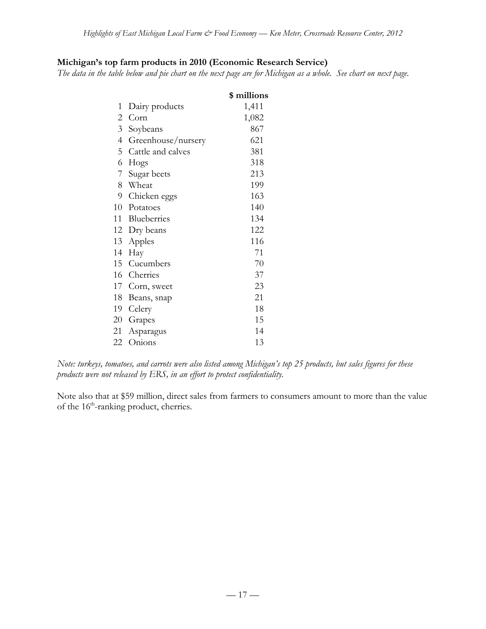# **Michigan's top farm products in 2010 (Economic Research Service)**

*The data in the table below and pie chart on the next page are for Michigan as a whole. See chart on next page.*

|                |                    | \$ millions |
|----------------|--------------------|-------------|
| 1              | Dairy products     | 1,411       |
| 2              | Corn               | 1,082       |
| 3 <sup>7</sup> | Soybeans           | 867         |
| 4              | Greenhouse/nursery | 621         |
| 5              | Cattle and calves  | 381         |
| 6              | Hogs               | 318         |
| 7              | Sugar beets        | 213         |
|                | 8 Wheat            | 199         |
|                | 9 Chicken eggs     | 163         |
|                | 10 Potatoes        | 140         |
|                | 11 Blueberries     | 134         |
|                | 12 Dry beans       | 122         |
|                | 13 Apples          | 116         |
| 14             | Hay                | 71          |
| 15             | Cucumbers          | 70          |
| 16             | Cherries           | 37          |
|                | 17 Corn, sweet     | 23          |
|                | 18 Beans, snap     | 21          |
| 19             | Celery             | 18          |
|                | 20 Grapes          | 15          |
| 21             | Asparagus          | 14          |
| 22             | Onions             | 13          |

*Note: turkeys, tomatoes, and carrots were also listed among Michigan's top 25 products, but sales figures for these products were not released by ERS, in an effort to protect confidentiality.*

Note also that at \$59 million, direct sales from farmers to consumers amount to more than the value of the 16<sup>th</sup>-ranking product, cherries.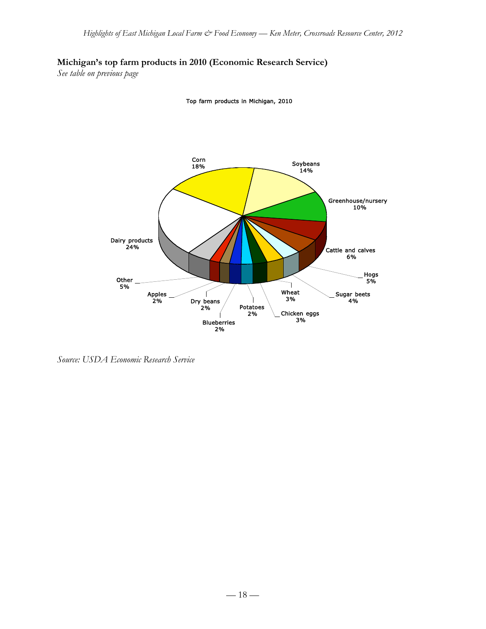## **Michigan's top farm products in 2010 (Economic Research Service)**

*See table on previous page*

Top farm products in Michigan, 2010



*Source: USDA Economic Research Service*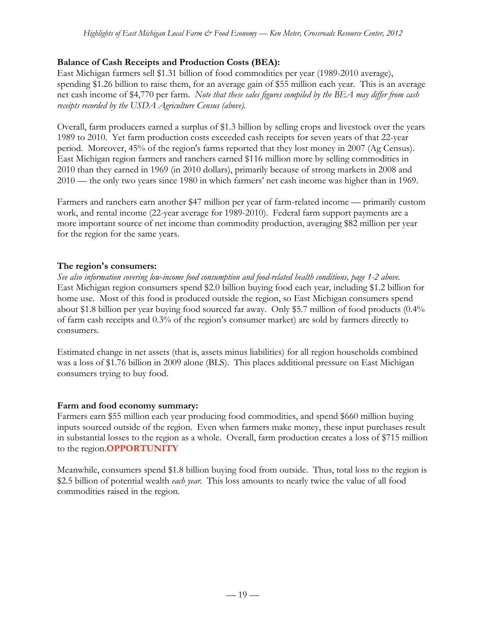# **Balance of Cash Receipts and Production Costs (BEA):**

East Michigan farmers sell \$1.31 billion of food commodities per year (1989-2010 average), spending \$1.26 billion to raise them, for an average gain of \$55 million each year. This is an average net cash income of \$4,770 per farm. *Note that these sales figures compiled by the BEA may differ from cash receipts recorded by the USDA Agriculture Census (above).*

Overall, farm producers earned a surplus of \$1.3 billion by selling crops and livestock over the years 1989 to 2010. Yet farm production costs exceeded cash receipts for seven years of that 22-year period. Moreover, 45% of the region's farms reported that they lost money in 2007 (Ag Census). East Michigan region farmers and ranchers earned \$116 million more by selling commodities in 2010 than they earned in 1969 (in 2010 dollars), primarily because of strong markets in 2008 and 2010 — the only two years since 1980 in which farmers' net cash income was higher than in 1969.

Farmers and ranchers earn another \$47 million per year of farm-related income — primarily custom work, and rental income (22-year average for 1989-2010). Federal farm support payments are a more important source of net income than commodity production, averaging \$82 million per year for the region for the same years.

# **The region's consumers:**

*See also information covering low-income food consumption and food-related health conditions, page 1-2 above.* East Michigan region consumers spend \$2.0 billion buying food each year, including \$1.2 billion for home use. Most of this food is produced outside the region, so East Michigan consumers spend about \$1.8 billion per year buying food sourced far away. Only \$5.7 million of food products (0.4% of farm cash receipts and 0.3% of the region's consumer market) are sold by farmers directly to consumers.

Estimated change in net assets (that is, assets minus liabilities) for all region households combined was a loss of \$1.76 billion in 2009 alone (BLS). This places additional pressure on East Michigan consumers trying to buy food.

# **Farm and food economy summary:**

Farmers earn \$55 million each year producing food commodities, and spend \$660 million buying inputs sourced outside of the region. Even when farmers make money, these input purchases result in substantial losses to the region as a whole. Overall, farm production creates a loss of \$715 million to the region.**OPPORTUNITY**

Meanwhile, consumers spend \$1.8 billion buying food from outside. Thus, total loss to the region is \$2.5 billion of potential wealth *each year*. This loss amounts to nearly twice the value of all food commodities raised in the region.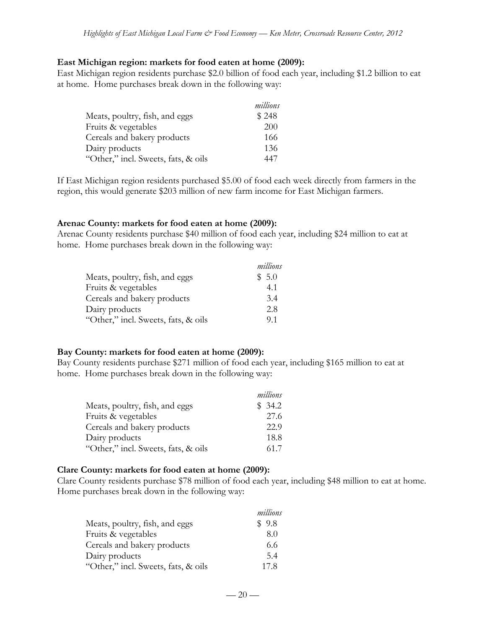#### **East Michigan region: markets for food eaten at home (2009):**

East Michigan region residents purchase \$2.0 billion of food each year, including \$1.2 billion to eat at home. Home purchases break down in the following way:

|                                     | millions |
|-------------------------------------|----------|
| Meats, poultry, fish, and eggs      | \$248    |
| Fruits & vegetables                 | 200      |
| Cereals and bakery products         | 166      |
| Dairy products                      | 136      |
| "Other," incl. Sweets, fats, & oils | 447      |

If East Michigan region residents purchased \$5.00 of food each week directly from farmers in the region, this would generate \$203 million of new farm income for East Michigan farmers.

#### **Arenac County: markets for food eaten at home (2009):**

Arenac County residents purchase \$40 million of food each year, including \$24 million to eat at home. Home purchases break down in the following way:

|                                     | millions |
|-------------------------------------|----------|
| Meats, poultry, fish, and eggs      | \$5.0    |
| Fruits & vegetables                 | 4.1      |
| Cereals and bakery products         | 3.4      |
| Dairy products                      | 2.8      |
| "Other," incl. Sweets, fats, & oils | 91       |

#### **Bay County: markets for food eaten at home (2009):**

Bay County residents purchase \$271 million of food each year, including \$165 million to eat at home. Home purchases break down in the following way:

|                                     | millions |
|-------------------------------------|----------|
| Meats, poultry, fish, and eggs      | \$34.2   |
| Fruits & vegetables                 | 27.6     |
| Cereals and bakery products         | 22.9     |
| Dairy products                      | 18.8     |
| "Other," incl. Sweets, fats, & oils | 61.7     |

#### **Clare County: markets for food eaten at home (2009):**

Clare County residents purchase \$78 million of food each year, including \$48 million to eat at home. Home purchases break down in the following way:

|                                     | millions |
|-------------------------------------|----------|
| Meats, poultry, fish, and eggs      | \$9.8    |
| Fruits & vegetables                 | 8.0      |
| Cereals and bakery products         | 6.6      |
| Dairy products                      | 5.4      |
| "Other," incl. Sweets, fats, & oils | 178      |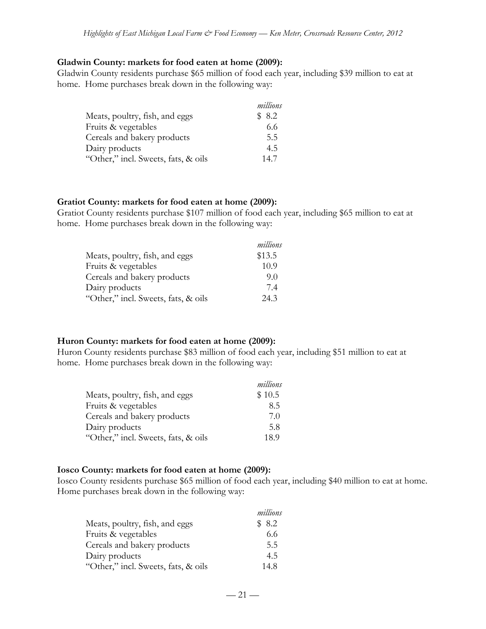#### **Gladwin County: markets for food eaten at home (2009):**

Gladwin County residents purchase \$65 million of food each year, including \$39 million to eat at home. Home purchases break down in the following way:

|                                     | millions |
|-------------------------------------|----------|
| Meats, poultry, fish, and eggs      | \$8.2    |
| Fruits & vegetables                 | 6.6      |
| Cereals and bakery products         | 5.5      |
| Dairy products                      | 4.5      |
| "Other," incl. Sweets, fats, & oils | 14.7     |

#### **Gratiot County: markets for food eaten at home (2009):**

Gratiot County residents purchase \$107 million of food each year, including \$65 million to eat at home. Home purchases break down in the following way:

|                                     | millions |
|-------------------------------------|----------|
| Meats, poultry, fish, and eggs      | \$13.5   |
| Fruits & vegetables                 | 10.9     |
| Cereals and bakery products         | 9.0      |
| Dairy products                      | 7.4      |
| "Other," incl. Sweets, fats, & oils | 24.3     |

#### **Huron County: markets for food eaten at home (2009):**

Huron County residents purchase \$83 million of food each year, including \$51 million to eat at home. Home purchases break down in the following way:

|                                     | millions |
|-------------------------------------|----------|
| Meats, poultry, fish, and eggs      | \$10.5   |
| Fruits & vegetables                 | 8.5      |
| Cereals and bakery products         | 7.0      |
| Dairy products                      | 5.8      |
| "Other," incl. Sweets, fats, & oils | 18.9     |

#### **Iosco County: markets for food eaten at home (2009):**

Iosco County residents purchase \$65 million of food each year, including \$40 million to eat at home. Home purchases break down in the following way:

|                                     | millions |
|-------------------------------------|----------|
| Meats, poultry, fish, and eggs      | \$8.2    |
| Fruits & vegetables                 | 6.6      |
| Cereals and bakery products         | 5.5      |
| Dairy products                      | 4.5      |
| "Other," incl. Sweets, fats, & oils | 14.8     |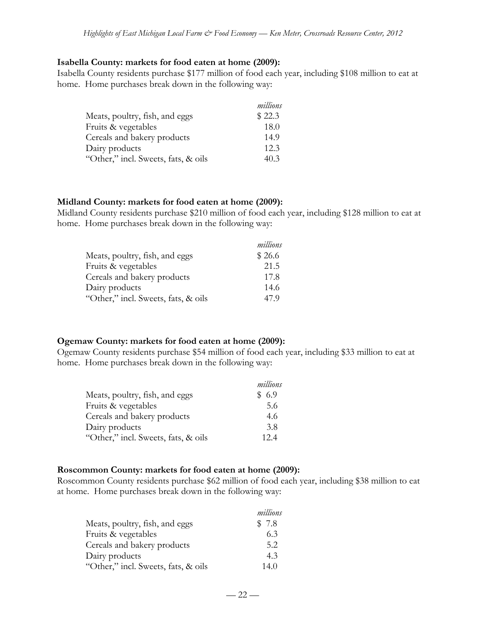#### **Isabella County: markets for food eaten at home (2009):**

Isabella County residents purchase \$177 million of food each year, including \$108 million to eat at home. Home purchases break down in the following way:

|                                     | millions |
|-------------------------------------|----------|
| Meats, poultry, fish, and eggs      | \$22.3   |
| Fruits & vegetables                 | 18.0     |
| Cereals and bakery products         | 14.9     |
| Dairy products                      | 12.3     |
| "Other," incl. Sweets, fats, & oils | 40.3     |

#### **Midland County: markets for food eaten at home (2009):**

Midland County residents purchase \$210 million of food each year, including \$128 million to eat at home. Home purchases break down in the following way:

|                                     | millions |
|-------------------------------------|----------|
| Meats, poultry, fish, and eggs      | \$26.6   |
| Fruits & vegetables                 | 21.5     |
| Cereals and bakery products         | 17.8     |
| Dairy products                      | 14.6     |
| "Other," incl. Sweets, fats, & oils | 479      |

#### **Ogemaw County: markets for food eaten at home (2009):**

Ogemaw County residents purchase \$54 million of food each year, including \$33 million to eat at home. Home purchases break down in the following way:

|                                     | millions |
|-------------------------------------|----------|
| Meats, poultry, fish, and eggs      | \$ 6.9   |
| Fruits & vegetables                 | 5.6      |
| Cereals and bakery products         | 4.6      |
| Dairy products                      | 3.8      |
| "Other," incl. Sweets, fats, & oils | 12.4     |

#### **Roscommon County: markets for food eaten at home (2009):**

Roscommon County residents purchase \$62 million of food each year, including \$38 million to eat at home. Home purchases break down in the following way:

|                                     | millions |
|-------------------------------------|----------|
| Meats, poultry, fish, and eggs      | \$7.8    |
| Fruits & vegetables                 | 6.3      |
| Cereals and bakery products         | 5.2      |
| Dairy products                      | 4.3      |
| "Other," incl. Sweets, fats, & oils | 14.0     |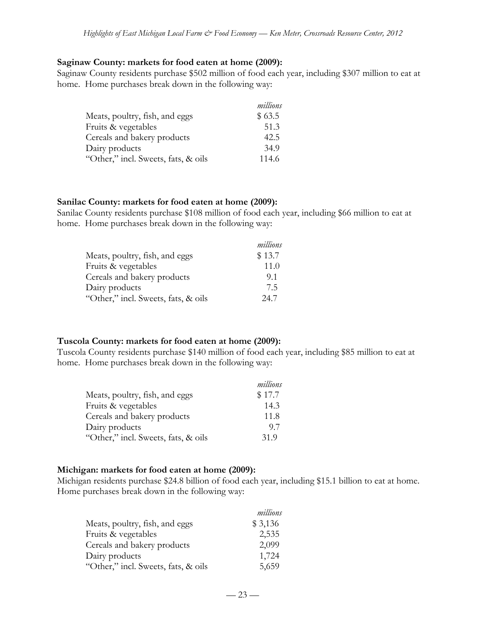#### **Saginaw County: markets for food eaten at home (2009):**

Saginaw County residents purchase \$502 million of food each year, including \$307 million to eat at home. Home purchases break down in the following way:

|                                     | millions |
|-------------------------------------|----------|
| Meats, poultry, fish, and eggs      | \$63.5   |
| Fruits & vegetables                 | 51.3     |
| Cereals and bakery products         | 42.5     |
| Dairy products                      | 34.9     |
| "Other," incl. Sweets, fats, & oils | 114.6    |

#### **Sanilac County: markets for food eaten at home (2009):**

Sanilac County residents purchase \$108 million of food each year, including \$66 million to eat at home. Home purchases break down in the following way:

|                                     | millions |
|-------------------------------------|----------|
| Meats, poultry, fish, and eggs      | \$13.7   |
| Fruits & vegetables                 | 11.0     |
| Cereals and bakery products         | 9.1      |
| Dairy products                      | 75       |
| "Other," incl. Sweets, fats, & oils | 24.7     |

#### **Tuscola County: markets for food eaten at home (2009):**

Tuscola County residents purchase \$140 million of food each year, including \$85 million to eat at home. Home purchases break down in the following way:

|                                     | millions |
|-------------------------------------|----------|
| Meats, poultry, fish, and eggs      | \$17.7   |
| Fruits & vegetables                 | 14.3     |
| Cereals and bakery products         | 11.8     |
| Dairy products                      | 97       |
| "Other," incl. Sweets, fats, & oils | 31.9     |

#### **Michigan: markets for food eaten at home (2009):**

Michigan residents purchase \$24.8 billion of food each year, including \$15.1 billion to eat at home. Home purchases break down in the following way:

|                                     | millions |
|-------------------------------------|----------|
| Meats, poultry, fish, and eggs      | \$3,136  |
| Fruits & vegetables                 | 2,535    |
| Cereals and bakery products         | 2,099    |
| Dairy products                      | 1,724    |
| "Other," incl. Sweets, fats, & oils | 5,659    |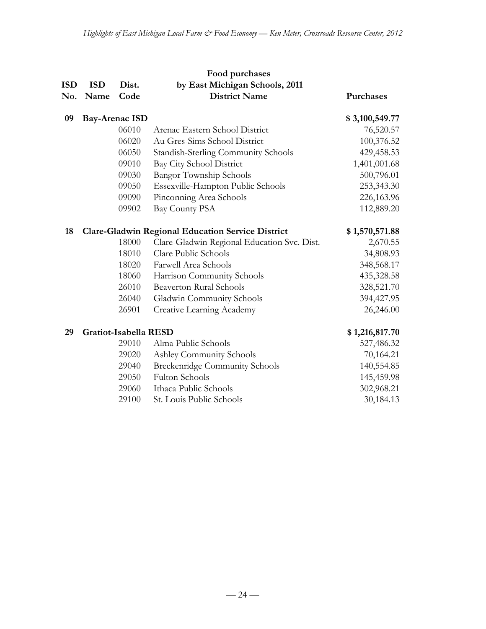|            | Food purchases        |       |                                                          |                |  |
|------------|-----------------------|-------|----------------------------------------------------------|----------------|--|
| <b>ISD</b> | <b>ISD</b>            | Dist. | by East Michigan Schools, 2011                           |                |  |
| No.        | Name                  | Code  | <b>District Name</b>                                     | Purchases      |  |
| 09         | <b>Bay-Arenac ISD</b> |       |                                                          | \$3,100,549.77 |  |
|            |                       | 06010 | Arenac Eastern School District                           | 76,520.57      |  |
|            |                       | 06020 | Au Gres-Sims School District                             | 100,376.52     |  |
|            |                       | 06050 | Standish-Sterling Community Schools                      | 429,458.53     |  |
|            |                       | 09010 | Bay City School District                                 | 1,401,001.68   |  |
|            |                       | 09030 | <b>Bangor Township Schools</b>                           | 500,796.01     |  |
|            |                       | 09050 | Essexville-Hampton Public Schools                        | 253,343.30     |  |
|            |                       | 09090 | Pinconning Area Schools                                  | 226,163.96     |  |
|            |                       | 09902 | Bay County PSA                                           | 112,889.20     |  |
| 18         |                       |       | <b>Clare-Gladwin Regional Education Service District</b> | \$1,570,571.88 |  |
|            |                       | 18000 | Clare-Gladwin Regional Education Svc. Dist.              | 2,670.55       |  |
|            |                       | 18010 | Clare Public Schools                                     | 34,808.93      |  |
|            |                       | 18020 | Farwell Area Schools                                     | 348,568.17     |  |
|            |                       | 18060 | Harrison Community Schools                               | 435,328.58     |  |
|            |                       | 26010 | <b>Beaverton Rural Schools</b>                           | 328,521.70     |  |
|            |                       | 26040 | Gladwin Community Schools                                | 394,427.95     |  |
|            |                       | 26901 | Creative Learning Academy                                | 26,246.00      |  |
| 29         | Gratiot-Isabella RESD |       |                                                          | \$1,216,817.70 |  |
|            |                       | 29010 | Alma Public Schools                                      | 527,486.32     |  |
|            |                       | 29020 | Ashley Community Schools                                 | 70,164.21      |  |
|            |                       | 29040 | <b>Breckenridge Community Schools</b>                    | 140,554.85     |  |
|            |                       | 29050 | <b>Fulton Schools</b>                                    | 145,459.98     |  |
|            |                       | 29060 | Ithaca Public Schools                                    | 302,968.21     |  |
|            |                       | 29100 | St. Louis Public Schools                                 | 30,184.13      |  |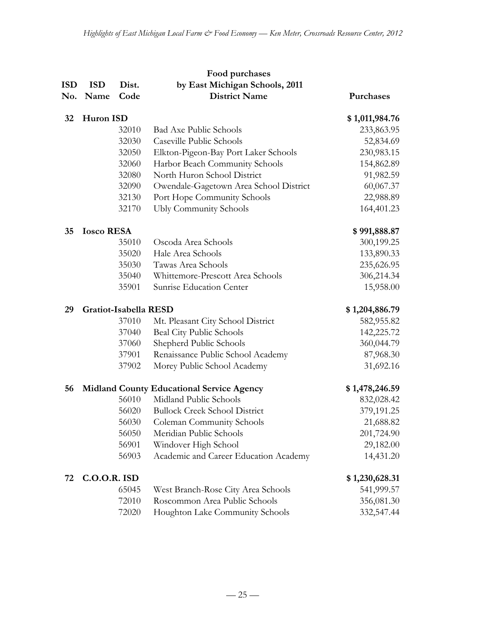| <b>ISD</b><br>No. | <b>ISD</b><br>Name | Dist.<br>Code         | Food purchases<br>by East Michigan Schools, 2011<br><b>District Name</b> | Purchases      |
|-------------------|--------------------|-----------------------|--------------------------------------------------------------------------|----------------|
| 32                | Huron ISD          |                       |                                                                          | \$1,011,984.76 |
|                   |                    | 32010                 | <b>Bad Axe Public Schools</b>                                            | 233,863.95     |
|                   |                    | 32030                 | Caseville Public Schools                                                 | 52,834.69      |
|                   |                    | 32050                 | Elkton-Pigeon-Bay Port Laker Schools                                     | 230,983.15     |
|                   |                    | 32060                 | Harbor Beach Community Schools                                           | 154,862.89     |
|                   |                    | 32080                 | North Huron School District                                              | 91,982.59      |
|                   |                    | 32090                 | Owendale-Gagetown Area School District                                   | 60,067.37      |
|                   |                    | 32130                 | Port Hope Community Schools                                              | 22,988.89      |
|                   |                    | 32170                 | <b>Ubly Community Schools</b>                                            | 164,401.23     |
| 35                | <b>Iosco RESA</b>  |                       |                                                                          | \$991,888.87   |
|                   |                    | 35010                 | Oscoda Area Schools                                                      | 300,199.25     |
|                   |                    | 35020                 | Hale Area Schools                                                        | 133,890.33     |
|                   |                    | 35030                 | Tawas Area Schools                                                       | 235,626.95     |
|                   |                    | 35040                 | Whittemore-Prescott Area Schools                                         | 306,214.34     |
|                   |                    | 35901                 | Sunrise Education Center                                                 | 15,958.00      |
| 29                |                    | Gratiot-Isabella RESD |                                                                          | \$1,204,886.79 |
|                   |                    | 37010                 | Mt. Pleasant City School District                                        | 582,955.82     |
|                   |                    | 37040                 | Beal City Public Schools                                                 | 142,225.72     |
|                   |                    | 37060                 | Shepherd Public Schools                                                  | 360,044.79     |
|                   |                    | 37901                 | Renaissance Public School Academy                                        | 87,968.30      |
|                   |                    | 37902                 | Morey Public School Academy                                              | 31,692.16      |
| 56                |                    |                       | <b>Midland County Educational Service Agency</b>                         | \$1,478,246.59 |
|                   |                    | 56010                 | Midland Public Schools                                                   | 832,028.42     |
|                   |                    | 56020                 | <b>Bullock Creek School District</b>                                     | 379,191.25     |
|                   |                    | 56030                 | Coleman Community Schools                                                | 21,688.82      |
|                   |                    | 56050                 | Meridian Public Schools                                                  | 201,724.90     |
|                   |                    | 56901                 | Windover High School                                                     | 29,182.00      |
|                   |                    | 56903                 | Academic and Career Education Academy                                    | 14,431.20      |
| 72                | $C.0.0.R.$ ISD     |                       |                                                                          | \$1,230,628.31 |
|                   |                    | 65045                 | West Branch-Rose City Area Schools                                       | 541,999.57     |
|                   |                    | 72010                 | Roscommon Area Public Schools                                            | 356,081.30     |
|                   |                    | 72020                 | Houghton Lake Community Schools                                          | 332,547.44     |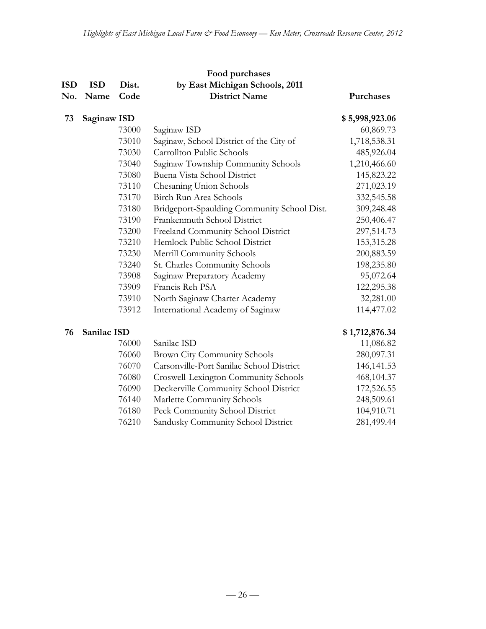| ISD | <b>ISD</b>  | Dist. | Food purchases<br>by East Michigan Schools, 2011 |                |
|-----|-------------|-------|--------------------------------------------------|----------------|
| No. | Name        | Code  | <b>District Name</b>                             | Purchases      |
| 73  | Saginaw ISD |       |                                                  | \$5,998,923.06 |
|     |             | 73000 | Saginaw ISD                                      | 60,869.73      |
|     |             | 73010 | Saginaw, School District of the City of          | 1,718,538.31   |
|     |             | 73030 | Carrollton Public Schools                        | 485,926.04     |
|     |             | 73040 | Saginaw Township Community Schools               | 1,210,466.60   |
|     |             | 73080 | Buena Vista School District                      | 145,823.22     |
|     |             | 73110 | Chesaning Union Schools                          | 271,023.19     |
|     |             | 73170 | Birch Run Area Schools                           | 332,545.58     |
|     |             | 73180 | Bridgeport-Spaulding Community School Dist.      | 309,248.48     |
|     |             | 73190 | Frankenmuth School District                      | 250,406.47     |
|     |             | 73200 | Freeland Community School District               | 297,514.73     |
|     |             | 73210 | Hemlock Public School District                   | 153,315.28     |
|     |             | 73230 | Merrill Community Schools                        | 200,883.59     |
|     |             | 73240 | St. Charles Community Schools                    | 198,235.80     |
|     |             | 73908 | Saginaw Preparatory Academy                      | 95,072.64      |
|     |             | 73909 | Francis Reh PSA                                  | 122,295.38     |
|     |             | 73910 | North Saginaw Charter Academy                    | 32,281.00      |
|     |             | 73912 | International Academy of Saginaw                 | 114,477.02     |

# **Sanilac ISD \$ 1,712,876.34**

| 76000 | Sanilac ISD                              | 11,086.82    |
|-------|------------------------------------------|--------------|
| 76060 | Brown City Community Schools             | 280,097.31   |
| 76070 | Carsonville-Port Sanilac School District | 146, 141. 53 |
| 76080 | Croswell-Lexington Community Schools     | 468,104.37   |
| 76090 | Deckerville Community School District    | 172,526.55   |
| 76140 | Marlette Community Schools               | 248,509.61   |
| 76180 | Peck Community School District           | 104,910.71   |
| 76210 | Sandusky Community School District       | 281,499.44   |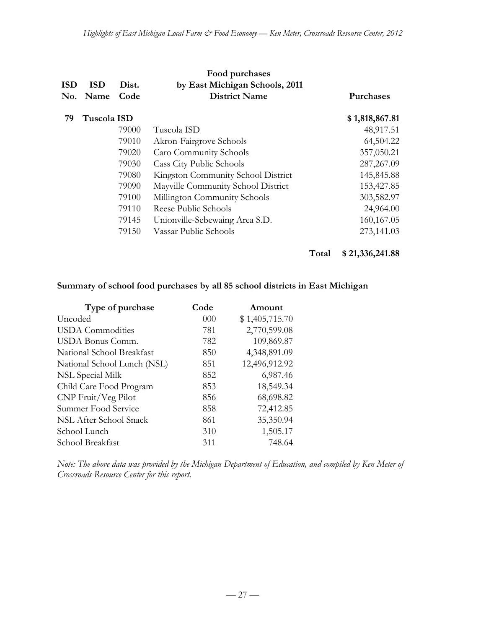|            |             |       | Food purchases                     |                  |
|------------|-------------|-------|------------------------------------|------------------|
| <b>ISD</b> | <b>ISD</b>  | Dist. | by East Michigan Schools, 2011     |                  |
| No.        | <b>Name</b> | Code  | <b>District Name</b>               | <b>Purchases</b> |
| 79         | Tuscola ISD |       |                                    | \$1,818,867.81   |
|            |             | 79000 | Tuscola ISD                        | 48,917.51        |
|            |             | 79010 | Akron-Fairgrove Schools            | 64,504.22        |
|            |             | 79020 | Caro Community Schools             | 357,050.21       |
|            |             | 79030 | <b>Cass City Public Schools</b>    | 287, 267.09      |
|            |             | 79080 | Kingston Community School District | 145,845.88       |
|            |             | 79090 | Mayville Community School District | 153,427.85       |
|            |             | 79100 | Millington Community Schools       | 303,582.97       |
|            |             | 79110 | Reese Public Schools               | 24,964.00        |
|            |             | 79145 | Unionville-Sebewaing Area S.D.     | 160,167.05       |
|            |             | 79150 | Vassar Public Schools              | 273,141.03       |

# **Total \$ 21,336,241.88**

## **Summary of school food purchases by all 85 school districts in East Michigan**

| Type of purchase            | Code     | Amount         |
|-----------------------------|----------|----------------|
| Uncoded                     | $000 \,$ | \$1,405,715.70 |
| USDA Commodities            | 781      | 2,770,599.08   |
| USDA Bonus Comm.            | 782      | 109,869.87     |
| National School Breakfast   | 850      | 4,348,891.09   |
| National School Lunch (NSL) | 851      | 12,496,912.92  |
| NSL Special Milk            | 852      | 6,987.46       |
| Child Care Food Program     | 853      | 18,549.34      |
| CNP Fruit/Veg Pilot         | 856      | 68,698.82      |
| Summer Food Service         | 858      | 72,412.85      |
| NSL After School Snack      | 861      | 35,350.94      |
| School Lunch                | 310      | 1,505.17       |
| School Breakfast            | 311      | 748.64         |

*Note: The above data was provided by the Michigan Department of Education, and compiled by Ken Meter of Crossroads Resource Center for this report.*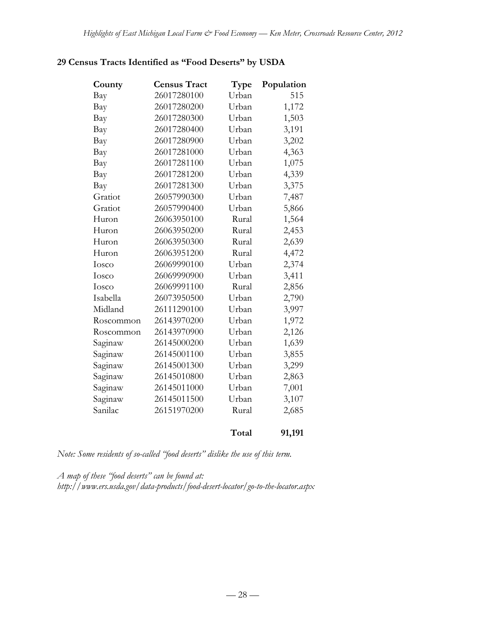# **29 Census Tracts Identified as "Food Deserts" by USDA**

| County    | <b>Census Tract</b> | Type  | Population |
|-----------|---------------------|-------|------------|
| Bay       | 26017280100         | Urban | 515        |
| Bay       | 26017280200         | Urban | 1,172      |
| Bay       | 26017280300         | Urban | 1,503      |
| Bay       | 26017280400         | Urban | 3,191      |
| Bay       | 26017280900         | Urban | 3,202      |
| Bay       | 26017281000         | Urban | 4,363      |
| Bay       | 26017281100         | Urban | 1,075      |
| Bay       | 26017281200         | Urban | 4,339      |
| Bay       | 26017281300         | Urban | 3,375      |
| Gratiot   | 26057990300         | Urban | 7,487      |
| Gratiot   | 26057990400         | Urban | 5,866      |
| Huron     | 26063950100         | Rural | 1,564      |
| Huron     | 26063950200         | Rural | 2,453      |
| Huron     | 26063950300         | Rural | 2,639      |
| Huron     | 26063951200         | Rural | 4,472      |
| Iosco     | 26069990100         | Urban | 2,374      |
| Iosco     | 26069990900         | Urban | 3,411      |
| Iosco     | 26069991100         | Rural | 2,856      |
| Isabella  | 26073950500         | Urban | 2,790      |
| Midland   | 26111290100         | Urban | 3,997      |
| Roscommon | 26143970200         | Urban | 1,972      |
| Roscommon | 26143970900         | Urban | 2,126      |
| Saginaw   | 26145000200         | Urban | 1,639      |
| Saginaw   | 26145001100         | Urban | 3,855      |
| Saginaw   | 26145001300         | Urban | 3,299      |
| Saginaw   | 26145010800         | Urban | 2,863      |
| Saginaw   | 26145011000         | Urban | 7,001      |
| Saginaw   | 26145011500         | Urban | 3,107      |
| Sanilac   | 26151970200         | Rural | 2,685      |
|           |                     | Total | 91,191     |

*Note: Some residents of so-called "food deserts" dislike the use of this term.*

*A map of these "food deserts" can be found at: http://www.ers.usda.gov/data-products/food-desert-locator/go-to-the-locator.aspx*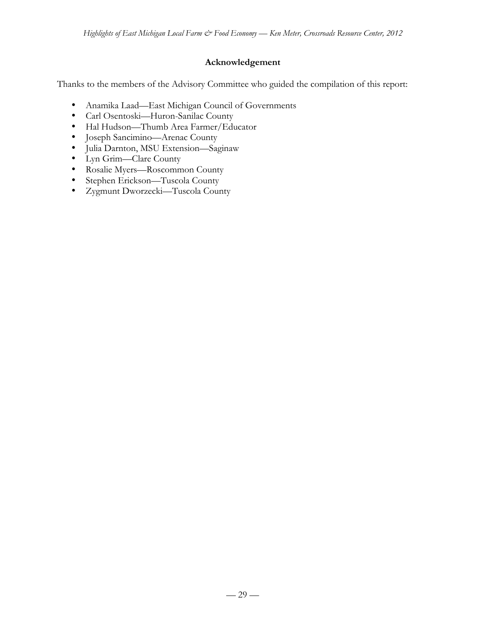# **Acknowledgement**

Thanks to the members of the Advisory Committee who guided the compilation of this report:

- Anamika Laad—East Michigan Council of Governments
- Carl Osentoski—Huron-Sanilac County
- Hal Hudson—Thumb Area Farmer/Educator
- Joseph Sancimino—Arenac County
- Julia Darnton, MSU Extension—Saginaw
- Lyn Grim—Clare County
- Rosalie Myers—Roscommon County
- Stephen Erickson—Tuscola County
- Zygmunt Dworzecki—Tuscola County